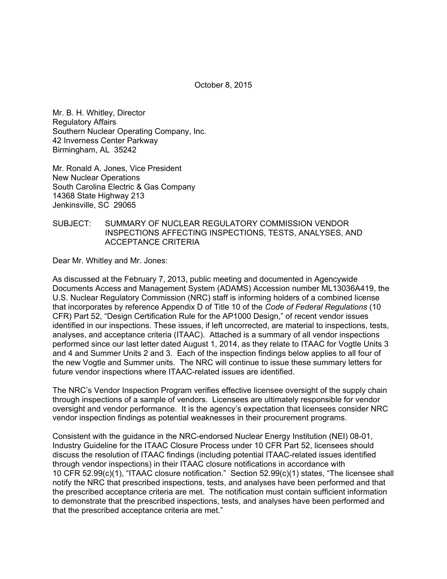October 8, 2015

Mr. B. H. Whitley, Director Regulatory Affairs Southern Nuclear Operating Company, Inc. 42 Inverness Center Parkway Birmingham, AL 35242

Mr. Ronald A. Jones, Vice President New Nuclear Operations South Carolina Electric & Gas Company 14368 State Highway 213 Jenkinsville, SC 29065

## SUBJECT: SUMMARY OF NUCLEAR REGULATORY COMMISSION VENDOR INSPECTIONS AFFECTING INSPECTIONS, TESTS, ANALYSES, AND ACCEPTANCE CRITERIA

Dear Mr. Whitley and Mr. Jones:

As discussed at the February 7, 2013, public meeting and documented in Agencywide Documents Access and Management System (ADAMS) Accession number ML13036A419, the U.S. Nuclear Regulatory Commission (NRC) staff is informing holders of a combined license that incorporates by reference Appendix D of Title 10 of the *Code of Federal Regulations* (10 CFR) Part 52, "Design Certification Rule for the AP1000 Design," of recent vendor issues identified in our inspections. These issues, if left uncorrected, are material to inspections, tests, analyses, and acceptance criteria (ITAAC). Attached is a summary of all vendor inspections performed since our last letter dated August 1, 2014, as they relate to ITAAC for Vogtle Units 3 and 4 and Summer Units 2 and 3. Each of the inspection findings below applies to all four of the new Vogtle and Summer units. The NRC will continue to issue these summary letters for future vendor inspections where ITAAC-related issues are identified.

The NRC's Vendor Inspection Program verifies effective licensee oversight of the supply chain through inspections of a sample of vendors. Licensees are ultimately responsible for vendor oversight and vendor performance. It is the agency's expectation that licensees consider NRC vendor inspection findings as potential weaknesses in their procurement programs.

Consistent with the guidance in the NRC-endorsed Nuclear Energy Institution (NEI) 08-01, Industry Guideline for the ITAAC Closure Process under 10 CFR Part 52, licensees should discuss the resolution of ITAAC findings (including potential ITAAC-related issues identified through vendor inspections) in their ITAAC closure notifications in accordance with 10 CFR 52.99(c)(1), "ITAAC closure notification." Section 52.99(c)(1) states, "The licensee shall notify the NRC that prescribed inspections, tests, and analyses have been performed and that the prescribed acceptance criteria are met. The notification must contain sufficient information to demonstrate that the prescribed inspections, tests, and analyses have been performed and that the prescribed acceptance criteria are met."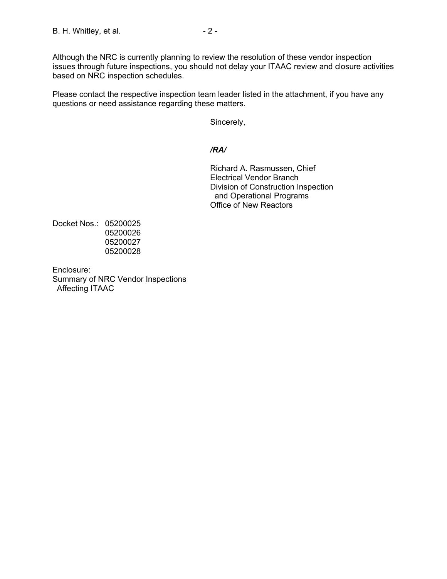Although the NRC is currently planning to review the resolution of these vendor inspection issues through future inspections, you should not delay your ITAAC review and closure activities based on NRC inspection schedules.

Please contact the respective inspection team leader listed in the attachment, if you have any questions or need assistance regarding these matters.

Sincerely,

# */RA/*

Richard A. Rasmussen, Chief Electrical Vendor Branch Division of Construction Inspection and Operational Programs Office of New Reactors

Docket Nos.: 05200025 05200026 05200027 05200028

Enclosure: Summary of NRC Vendor Inspections Affecting ITAAC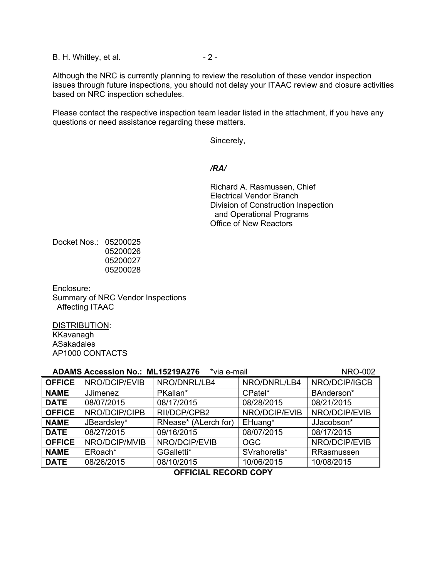B. H. Whitley, et al.  $-2 -$ 

Although the NRC is currently planning to review the resolution of these vendor inspection issues through future inspections, you should not delay your ITAAC review and closure activities based on NRC inspection schedules.

Please contact the respective inspection team leader listed in the attachment, if you have any questions or need assistance regarding these matters.

Sincerely,

### */RA/*

Richard A. Rasmussen, Chief Electrical Vendor Branch Division of Construction Inspection and Operational Programs Office of New Reactors

Docket Nos.: 05200025 05200026 05200027 05200028

Enclosure: Summary of NRC Vendor Inspections Affecting ITAAC

DISTRIBUTION: KKavanagh ASakadales AP1000 CONTACTS

| <b>ADAMS Accession No.: ML15219A276</b><br><b>NRO-002</b><br>*via e-mail |                 |                      |               |               |
|--------------------------------------------------------------------------|-----------------|----------------------|---------------|---------------|
| <b>OFFICE</b>                                                            | NRO/DCIP/EVIB   | NRO/DNRL/LB4         | NRO/DNRL/LB4  | NRO/DCIP/IGCB |
| <b>NAME</b>                                                              | <b>JJimenez</b> | PKallan*             | CPatel*       | BAnderson*    |
| <b>DATE</b>                                                              | 08/07/2015      | 08/17/2015           | 08/28/2015    | 08/21/2015    |
| <b>OFFICE</b>                                                            | NRO/DCIP/CIPB   | RII/DCP/CPB2         | NRO/DCIP/EVIB | NRO/DCIP/EVIB |
| <b>NAME</b>                                                              | JBeardsley*     | RNease* (ALerch for) | EHuang*       | JJacobson*    |
| <b>DATE</b>                                                              | 08/27/2015      | 09/16/2015           | 08/07/2015    | 08/17/2015    |
| <b>OFFICE</b>                                                            | NRO/DCIP/MVIB   | NRO/DCIP/EVIB        | <b>OGC</b>    | NRO/DCIP/EVIB |
| <b>NAME</b>                                                              | ERoach*         | GGalletti*           | SVrahoretis*  | RRasmussen    |
| $\overline{\phantom{a}}$ DATE                                            | 08/26/2015      | 08/10/2015           | 10/06/2015    | 10/08/2015    |
| <b>APPIAIAI</b><br>BEAARR AARV                                           |                 |                      |               |               |

**OFFICIAL RECORD COPY**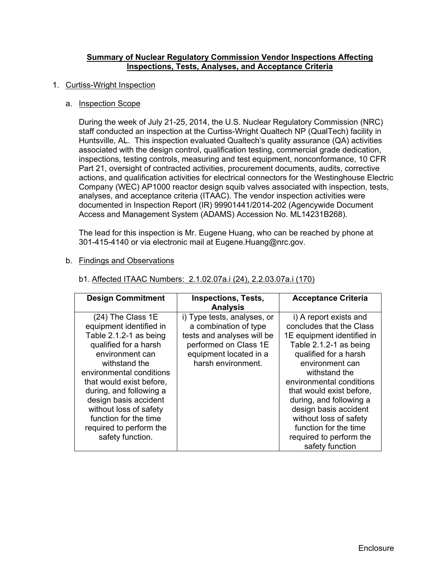## **Summary of Nuclear Regulatory Commission Vendor Inspections Affecting Inspections, Tests, Analyses, and Acceptance Criteria**

#### 1. Curtiss-Wright Inspection

#### a. Inspection Scope

During the week of July 21-25, 2014, the U.S. Nuclear Regulatory Commission (NRC) staff conducted an inspection at the Curtiss-Wright Qualtech NP (QualTech) facility in Huntsville, AL. This inspection evaluated Qualtech's quality assurance (QA) activities associated with the design control, qualification testing, commercial grade dedication, inspections, testing controls, measuring and test equipment, nonconformance, 10 CFR Part 21, oversight of contracted activities, procurement documents, audits, corrective actions, and qualification activities for electrical connectors for the Westinghouse Electric Company (WEC) AP1000 reactor design squib valves associated with inspection, tests, analyses, and acceptance criteria (ITAAC). The vendor inspection activities were documented in Inspection Report (IR) 99901441/2014-202 (Agencywide Document Access and Management System (ADAMS) Accession No. ML14231B268).

The lead for this inspection is Mr. Eugene Huang, who can be reached by phone at 301-415-4140 or via electronic mail at Eugene.Huang@nrc.gov.

#### b. Findings and Observations

| <b>Design Commitment</b>                                                                                                                                                                                                                                                                                                                          | <b>Inspections, Tests,</b>                                                                                                                                  | <b>Acceptance Criteria</b>                                                                                                                                                                                                                                                                                                                                                           |
|---------------------------------------------------------------------------------------------------------------------------------------------------------------------------------------------------------------------------------------------------------------------------------------------------------------------------------------------------|-------------------------------------------------------------------------------------------------------------------------------------------------------------|--------------------------------------------------------------------------------------------------------------------------------------------------------------------------------------------------------------------------------------------------------------------------------------------------------------------------------------------------------------------------------------|
|                                                                                                                                                                                                                                                                                                                                                   | <b>Analysis</b>                                                                                                                                             |                                                                                                                                                                                                                                                                                                                                                                                      |
| (24) The Class 1E<br>equipment identified in<br>Table 2.1.2-1 as being<br>qualified for a harsh<br>environment can<br>withstand the<br>environmental conditions<br>that would exist before,<br>during, and following a<br>design basis accident<br>without loss of safety<br>function for the time<br>required to perform the<br>safety function. | i) Type tests, analyses, or<br>a combination of type<br>tests and analyses will be<br>performed on Class 1E<br>equipment located in a<br>harsh environment. | i) A report exists and<br>concludes that the Class<br>1E equipment identified in<br>Table 2.1.2-1 as being<br>qualified for a harsh<br>environment can<br>withstand the<br>environmental conditions<br>that would exist before,<br>during, and following a<br>design basis accident<br>without loss of safety<br>function for the time<br>required to perform the<br>safety function |

#### b1. Affected ITAAC Numbers: 2.1.02.07a.i (24), 2.2.03.07a.i (170)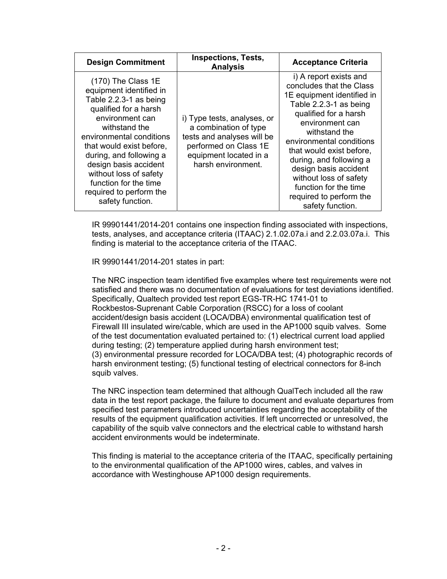| <b>Design Commitment</b>                                                                                                                                                                                                                                                                                                                             | <b>Inspections, Tests,</b><br><b>Analysis</b>                                                                                                               | <b>Acceptance Criteria</b>                                                                                                                                                                                                                                                                                                                                                            |
|------------------------------------------------------------------------------------------------------------------------------------------------------------------------------------------------------------------------------------------------------------------------------------------------------------------------------------------------------|-------------------------------------------------------------------------------------------------------------------------------------------------------------|---------------------------------------------------------------------------------------------------------------------------------------------------------------------------------------------------------------------------------------------------------------------------------------------------------------------------------------------------------------------------------------|
| $(170)$ The Class 1E<br>equipment identified in<br>Table 2.2.3-1 as being<br>qualified for a harsh<br>environment can<br>withstand the<br>environmental conditions<br>that would exist before,<br>during, and following a<br>design basis accident<br>without loss of safety<br>function for the time<br>required to perform the<br>safety function. | i) Type tests, analyses, or<br>a combination of type<br>tests and analyses will be<br>performed on Class 1E<br>equipment located in a<br>harsh environment. | i) A report exists and<br>concludes that the Class<br>1E equipment identified in<br>Table 2.2.3-1 as being<br>qualified for a harsh<br>environment can<br>withstand the<br>environmental conditions<br>that would exist before,<br>during, and following a<br>design basis accident<br>without loss of safety<br>function for the time<br>required to perform the<br>safety function. |

IR 99901441/2014-201 contains one inspection finding associated with inspections, tests, analyses, and acceptance criteria (ITAAC) 2.1.02.07a.i and 2.2.03.07a.i. This finding is material to the acceptance criteria of the ITAAC.

IR 99901441/2014-201 states in part:

The NRC inspection team identified five examples where test requirements were not satisfied and there was no documentation of evaluations for test deviations identified. Specifically, Qualtech provided test report EGS-TR-HC 1741-01 to Rockbestos-Suprenant Cable Corporation (RSCC) for a loss of coolant accident/design basis accident (LOCA/DBA) environmental qualification test of Firewall III insulated wire/cable, which are used in the AP1000 squib valves. Some of the test documentation evaluated pertained to: (1) electrical current load applied during testing; (2) temperature applied during harsh environment test; (3) environmental pressure recorded for LOCA/DBA test; (4) photographic records of harsh environment testing; (5) functional testing of electrical connectors for 8-inch squib valves.

The NRC inspection team determined that although QualTech included all the raw data in the test report package, the failure to document and evaluate departures from specified test parameters introduced uncertainties regarding the acceptability of the results of the equipment qualification activities. If left uncorrected or unresolved, the capability of the squib valve connectors and the electrical cable to withstand harsh accident environments would be indeterminate.

This finding is material to the acceptance criteria of the ITAAC, specifically pertaining to the environmental qualification of the AP1000 wires, cables, and valves in accordance with Westinghouse AP1000 design requirements.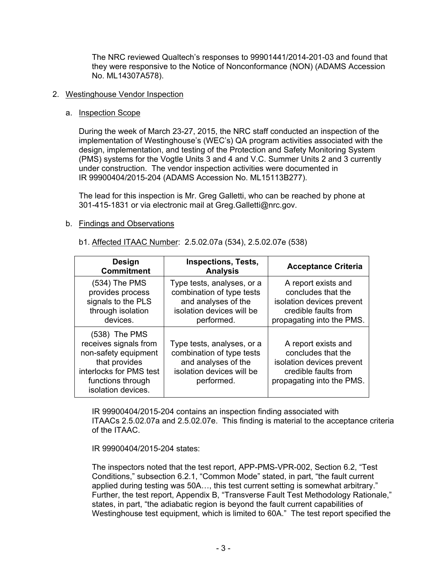The NRC reviewed Qualtech's responses to 99901441/2014-201-03 and found that they were responsive to the Notice of Nonconformance (NON) (ADAMS Accession No. ML14307A578).

# 2. Westinghouse Vendor Inspection

# a. Inspection Scope

During the week of March 23-27, 2015, the NRC staff conducted an inspection of the implementation of Westinghouse's (WEC's) QA program activities associated with the design, implementation, and testing of the Protection and Safety Monitoring System (PMS) systems for the Vogtle Units 3 and 4 and V.C. Summer Units 2 and 3 currently under construction. The vendor inspection activities were documented in IR 99900404/2015-204 (ADAMS Accession No. ML15113B277).

The lead for this inspection is Mr. Greg Galletti, who can be reached by phone at 301-415-1831 or via electronic mail at Greg.Galletti@nrc.gov.

# b. Findings and Observations

| <b>Design</b><br><b>Commitment</b>                                                                                                                      | <b>Inspections, Tests,</b><br><b>Analysis</b>                                                                             | <b>Acceptance Criteria</b>                                                                                                  |
|---------------------------------------------------------------------------------------------------------------------------------------------------------|---------------------------------------------------------------------------------------------------------------------------|-----------------------------------------------------------------------------------------------------------------------------|
| $(534)$ The PMS<br>provides process<br>signals to the PLS<br>through isolation<br>devices.                                                              | Type tests, analyses, or a<br>combination of type tests<br>and analyses of the<br>isolation devices will be<br>performed. | A report exists and<br>concludes that the<br>isolation devices prevent<br>credible faults from<br>propagating into the PMS. |
| $(538)$ The PMS<br>receives signals from<br>non-safety equipment<br>that provides<br>interlocks for PMS test<br>functions through<br>isolation devices. | Type tests, analyses, or a<br>combination of type tests<br>and analyses of the<br>isolation devices will be<br>performed. | A report exists and<br>concludes that the<br>isolation devices prevent<br>credible faults from<br>propagating into the PMS. |

## b1. Affected ITAAC Number: 2.5.02.07a (534), 2.5.02.07e (538)

IR 99900404/2015-204 contains an inspection finding associated with ITAACs 2.5.02.07a and 2.5.02.07e. This finding is material to the acceptance criteria of the ITAAC.

IR 99900404/2015-204 states:

The inspectors noted that the test report, APP-PMS-VPR-002, Section 6.2, "Test Conditions," subsection 6.2.1, "Common Mode" stated, in part, "the fault current applied during testing was 50A…, this test current setting is somewhat arbitrary." Further, the test report, Appendix B, "Transverse Fault Test Methodology Rationale," states, in part, "the adiabatic region is beyond the fault current capabilities of Westinghouse test equipment, which is limited to 60A." The test report specified the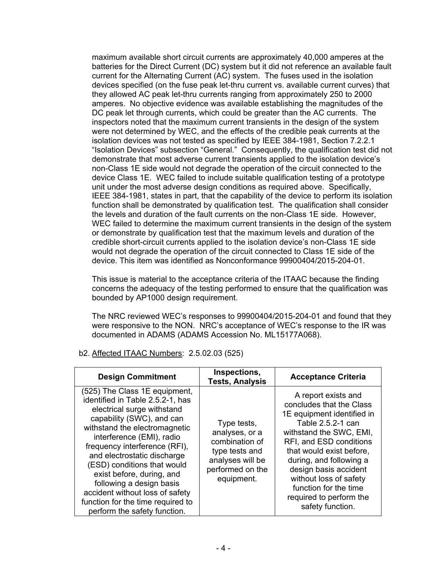maximum available short circuit currents are approximately 40,000 amperes at the batteries for the Direct Current (DC) system but it did not reference an available fault current for the Alternating Current (AC) system. The fuses used in the isolation devices specified (on the fuse peak let-thru current vs. available current curves) that they allowed AC peak let-thru currents ranging from approximately 250 to 2000 amperes. No objective evidence was available establishing the magnitudes of the DC peak let through currents, which could be greater than the AC currents. The inspectors noted that the maximum current transients in the design of the system were not determined by WEC, and the effects of the credible peak currents at the isolation devices was not tested as specified by IEEE 384-1981, Section 7.2.2.1 "Isolation Devices" subsection "General." Consequently, the qualification test did not demonstrate that most adverse current transients applied to the isolation device's non-Class 1E side would not degrade the operation of the circuit connected to the device Class 1E. WEC failed to include suitable qualification testing of a prototype unit under the most adverse design conditions as required above. Specifically, IEEE 384-1981, states in part, that the capability of the device to perform its isolation function shall be demonstrated by qualification test. The qualification shall consider the levels and duration of the fault currents on the non-Class 1E side. However, WEC failed to determine the maximum current transients in the design of the system or demonstrate by qualification test that the maximum levels and duration of the credible short-circuit currents applied to the isolation device's non-Class 1E side would not degrade the operation of the circuit connected to Class 1E side of the device. This item was identified as Nonconformance 99900404/2015-204-01.

This issue is material to the acceptance criteria of the ITAAC because the finding concerns the adequacy of the testing performed to ensure that the qualification was bounded by AP1000 design requirement.

The NRC reviewed WEC's responses to 99900404/2015-204-01 and found that they were responsive to the NON. NRC's acceptance of WEC's response to the IR was documented in ADAMS (ADAMS Accession No. ML15177A068).

| <b>Design Commitment</b>                                                                                                                                                                                                                                                                                                                                                                                                                                   | Inspections,<br><b>Tests, Analysis</b>                                                                                  | <b>Acceptance Criteria</b>                                                                                                                                                                                                                                                                                                                 |
|------------------------------------------------------------------------------------------------------------------------------------------------------------------------------------------------------------------------------------------------------------------------------------------------------------------------------------------------------------------------------------------------------------------------------------------------------------|-------------------------------------------------------------------------------------------------------------------------|--------------------------------------------------------------------------------------------------------------------------------------------------------------------------------------------------------------------------------------------------------------------------------------------------------------------------------------------|
| (525) The Class 1E equipment,<br>identified in Table 2.5.2-1, has<br>electrical surge withstand<br>capability (SWC), and can<br>withstand the electromagnetic<br>interference (EMI), radio<br>frequency interference (RFI),<br>and electrostatic discharge<br>(ESD) conditions that would<br>exist before, during, and<br>following a design basis<br>accident without loss of safety<br>function for the time required to<br>perform the safety function. | Type tests,<br>analyses, or a<br>combination of<br>type tests and<br>analyses will be<br>performed on the<br>equipment. | A report exists and<br>concludes that the Class<br>1E equipment identified in<br>Table 2.5.2-1 can<br>withstand the SWC, EMI,<br>RFI, and ESD conditions<br>that would exist before,<br>during, and following a<br>design basis accident<br>without loss of safety<br>function for the time<br>required to perform the<br>safety function. |

b2. Affected ITAAC Numbers: 2.5.02.03 (525)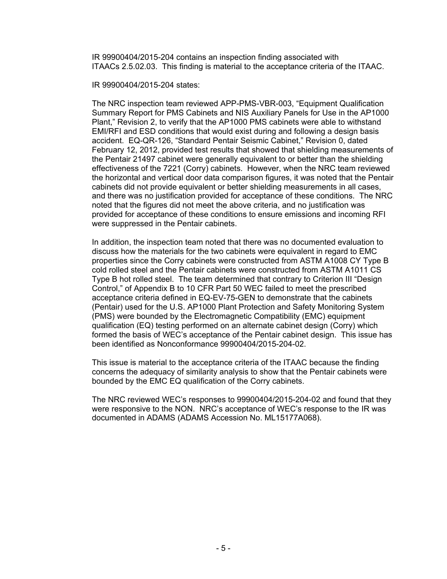IR 99900404/2015-204 contains an inspection finding associated with ITAACs 2.5.02.03. This finding is material to the acceptance criteria of the ITAAC.

IR 99900404/2015-204 states:

The NRC inspection team reviewed APP-PMS-VBR-003, "Equipment Qualification Summary Report for PMS Cabinets and NIS Auxiliary Panels for Use in the AP1000 Plant," Revision 2, to verify that the AP1000 PMS cabinets were able to withstand EMI/RFI and ESD conditions that would exist during and following a design basis accident. EQ-QR-126, "Standard Pentair Seismic Cabinet," Revision 0, dated February 12, 2012, provided test results that showed that shielding measurements of the Pentair 21497 cabinet were generally equivalent to or better than the shielding effectiveness of the 7221 (Corry) cabinets. However, when the NRC team reviewed the horizontal and vertical door data comparison figures, it was noted that the Pentair cabinets did not provide equivalent or better shielding measurements in all cases, and there was no justification provided for acceptance of these conditions. The NRC noted that the figures did not meet the above criteria, and no justification was provided for acceptance of these conditions to ensure emissions and incoming RFI were suppressed in the Pentair cabinets.

In addition, the inspection team noted that there was no documented evaluation to discuss how the materials for the two cabinets were equivalent in regard to EMC properties since the Corry cabinets were constructed from ASTM A1008 CY Type B cold rolled steel and the Pentair cabinets were constructed from ASTM A1011 CS Type B hot rolled steel. The team determined that contrary to Criterion III "Design Control," of Appendix B to 10 CFR Part 50 WEC failed to meet the prescribed acceptance criteria defined in EQ-EV-75-GEN to demonstrate that the cabinets (Pentair) used for the U.S. AP1000 Plant Protection and Safety Monitoring System (PMS) were bounded by the Electromagnetic Compatibility (EMC) equipment qualification (EQ) testing performed on an alternate cabinet design (Corry) which formed the basis of WEC's acceptance of the Pentair cabinet design. This issue has been identified as Nonconformance 99900404/2015-204-02.

This issue is material to the acceptance criteria of the ITAAC because the finding concerns the adequacy of similarity analysis to show that the Pentair cabinets were bounded by the EMC EQ qualification of the Corry cabinets.

The NRC reviewed WEC's responses to 99900404/2015-204-02 and found that they were responsive to the NON. NRC's acceptance of WEC's response to the IR was documented in ADAMS (ADAMS Accession No. ML15177A068).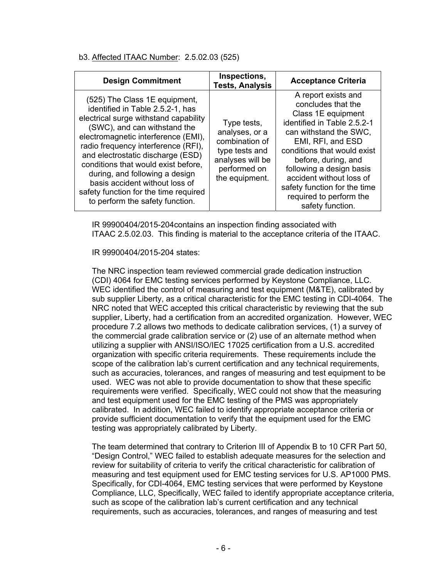# b3. Affected ITAAC Number: 2.5.02.03 (525)

| <b>Design Commitment</b>                                                                                                                                                                                                                                                                                                                                                                                                                             | Inspections,<br><b>Tests, Analysis</b>                                                                                  | <b>Acceptance Criteria</b>                                                                                                                                                                                                                                                                                                                 |
|------------------------------------------------------------------------------------------------------------------------------------------------------------------------------------------------------------------------------------------------------------------------------------------------------------------------------------------------------------------------------------------------------------------------------------------------------|-------------------------------------------------------------------------------------------------------------------------|--------------------------------------------------------------------------------------------------------------------------------------------------------------------------------------------------------------------------------------------------------------------------------------------------------------------------------------------|
| (525) The Class 1E equipment,<br>identified in Table 2.5.2-1, has<br>electrical surge withstand capability<br>(SWC), and can withstand the<br>electromagnetic interference (EMI),<br>radio frequency interference (RFI),<br>and electrostatic discharge (ESD)<br>conditions that would exist before.<br>during, and following a design<br>basis accident without loss of<br>safety function for the time required<br>to perform the safety function. | Type tests,<br>analyses, or a<br>combination of<br>type tests and<br>analyses will be<br>performed on<br>the equipment. | A report exists and<br>concludes that the<br>Class 1E equipment<br>identified in Table 2.5.2-1<br>can withstand the SWC.<br>EMI, RFI, and ESD<br>conditions that would exist<br>before, during, and<br>following a design basis<br>accident without loss of<br>safety function for the time<br>required to perform the<br>safety function. |

IR 99900404/2015-204contains an inspection finding associated with ITAAC 2.5.02.03. This finding is material to the acceptance criteria of the ITAAC.

## IR 99900404/2015-204 states:

The NRC inspection team reviewed commercial grade dedication instruction (CDI) 4064 for EMC testing services performed by Keystone Compliance, LLC. WEC identified the control of measuring and test equipment (M&TE), calibrated by sub supplier Liberty, as a critical characteristic for the EMC testing in CDI-4064. The NRC noted that WEC accepted this critical characteristic by reviewing that the sub supplier, Liberty, had a certification from an accredited organization. However, WEC procedure 7.2 allows two methods to dedicate calibration services, (1) a survey of the commercial grade calibration service or (2) use of an alternate method when utilizing a supplier with ANSI/ISO/IEC 17025 certification from a U.S. accredited organization with specific criteria requirements. These requirements include the scope of the calibration lab's current certification and any technical requirements, such as accuracies, tolerances, and ranges of measuring and test equipment to be used. WEC was not able to provide documentation to show that these specific requirements were verified. Specifically, WEC could not show that the measuring and test equipment used for the EMC testing of the PMS was appropriately calibrated. In addition, WEC failed to identify appropriate acceptance criteria or provide sufficient documentation to verify that the equipment used for the EMC testing was appropriately calibrated by Liberty.

The team determined that contrary to Criterion III of Appendix B to 10 CFR Part 50, "Design Control," WEC failed to establish adequate measures for the selection and review for suitability of criteria to verify the critical characteristic for calibration of measuring and test equipment used for EMC testing services for U.S. AP1000 PMS. Specifically, for CDI-4064, EMC testing services that were performed by Keystone Compliance, LLC, Specifically, WEC failed to identify appropriate acceptance criteria, such as scope of the calibration lab's current certification and any technical requirements, such as accuracies, tolerances, and ranges of measuring and test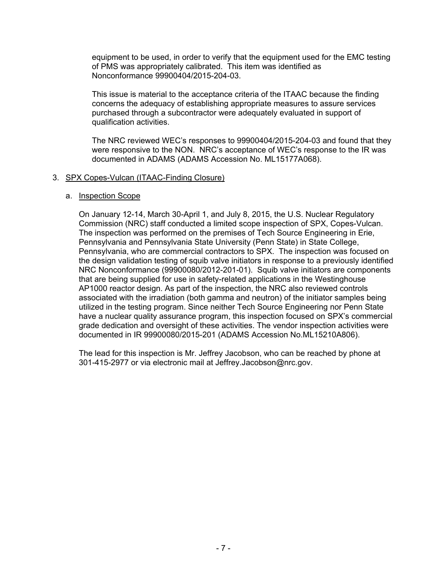equipment to be used, in order to verify that the equipment used for the EMC testing of PMS was appropriately calibrated. This item was identified as Nonconformance 99900404/2015-204-03.

This issue is material to the acceptance criteria of the ITAAC because the finding concerns the adequacy of establishing appropriate measures to assure services purchased through a subcontractor were adequately evaluated in support of qualification activities.

The NRC reviewed WEC's responses to 99900404/2015-204-03 and found that they were responsive to the NON. NRC's acceptance of WEC's response to the IR was documented in ADAMS (ADAMS Accession No. ML15177A068).

## 3. SPX Copes-Vulcan (ITAAC-Finding Closure)

## a. Inspection Scope

On January 12-14, March 30-April 1, and July 8, 2015, the U.S. Nuclear Regulatory Commission (NRC) staff conducted a limited scope inspection of SPX, Copes-Vulcan. The inspection was performed on the premises of Tech Source Engineering in Erie, Pennsylvania and Pennsylvania State University (Penn State) in State College, Pennsylvania, who are commercial contractors to SPX. The inspection was focused on the design validation testing of squib valve initiators in response to a previously identified NRC Nonconformance (99900080/2012-201-01). Squib valve initiators are components that are being supplied for use in safety-related applications in the Westinghouse AP1000 reactor design. As part of the inspection, the NRC also reviewed controls associated with the irradiation (both gamma and neutron) of the initiator samples being utilized in the testing program. Since neither Tech Source Engineering nor Penn State have a nuclear quality assurance program, this inspection focused on SPX's commercial grade dedication and oversight of these activities. The vendor inspection activities were documented in IR 99900080/2015-201 (ADAMS Accession No.ML15210A806).

The lead for this inspection is Mr. Jeffrey Jacobson, who can be reached by phone at 301-415-2977 or via electronic mail at Jeffrey.Jacobson@nrc.gov.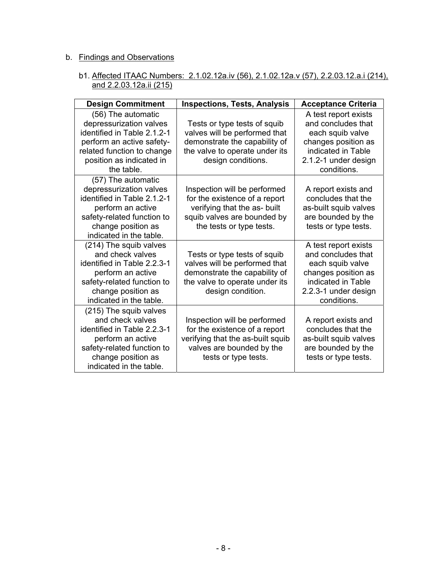# b. Findings and Observations

# b1. Affected ITAAC Numbers: 2.1.02.12a.iv (56), 2.1.02.12a.v (57), 2.2.03.12.a.i (214), and 2.2.03.12a.ii (215)

| <b>Design Commitment</b>                                                                                                                                                          | <b>Inspections, Tests, Analysis</b>                                                                                                                      | <b>Acceptance Criteria</b>                                                                                                                         |
|-----------------------------------------------------------------------------------------------------------------------------------------------------------------------------------|----------------------------------------------------------------------------------------------------------------------------------------------------------|----------------------------------------------------------------------------------------------------------------------------------------------------|
| (56) The automatic<br>depressurization valves<br>identified in Table 2.1.2-1<br>perform an active safety-<br>related function to change<br>position as indicated in<br>the table. | Tests or type tests of squib<br>valves will be performed that<br>demonstrate the capability of<br>the valve to operate under its<br>design conditions.   | A test report exists<br>and concludes that<br>each squib valve<br>changes position as<br>indicated in Table<br>2.1.2-1 under design<br>conditions. |
| (57) The automatic<br>depressurization valves<br>identified in Table 2.1.2-1<br>perform an active<br>safety-related function to<br>change position as<br>indicated in the table.  | Inspection will be performed<br>for the existence of a report<br>verifying that the as- built<br>squib valves are bounded by<br>the tests or type tests. | A report exists and<br>concludes that the<br>as-built squib valves<br>are bounded by the<br>tests or type tests.                                   |
| (214) The squib valves<br>and check valves<br>identified in Table 2.2.3-1<br>perform an active<br>safety-related function to<br>change position as<br>indicated in the table.     | Tests or type tests of squib<br>valves will be performed that<br>demonstrate the capability of<br>the valve to operate under its<br>design condition.    | A test report exists<br>and concludes that<br>each squib valve<br>changes position as<br>indicated in Table<br>2.2.3-1 under design<br>conditions. |
| (215) The squib valves<br>and check valves<br>identified in Table 2.2.3-1<br>perform an active<br>safety-related function to<br>change position as<br>indicated in the table.     | Inspection will be performed<br>for the existence of a report<br>verifying that the as-built squib<br>valves are bounded by the<br>tests or type tests.  | A report exists and<br>concludes that the<br>as-built squib valves<br>are bounded by the<br>tests or type tests.                                   |